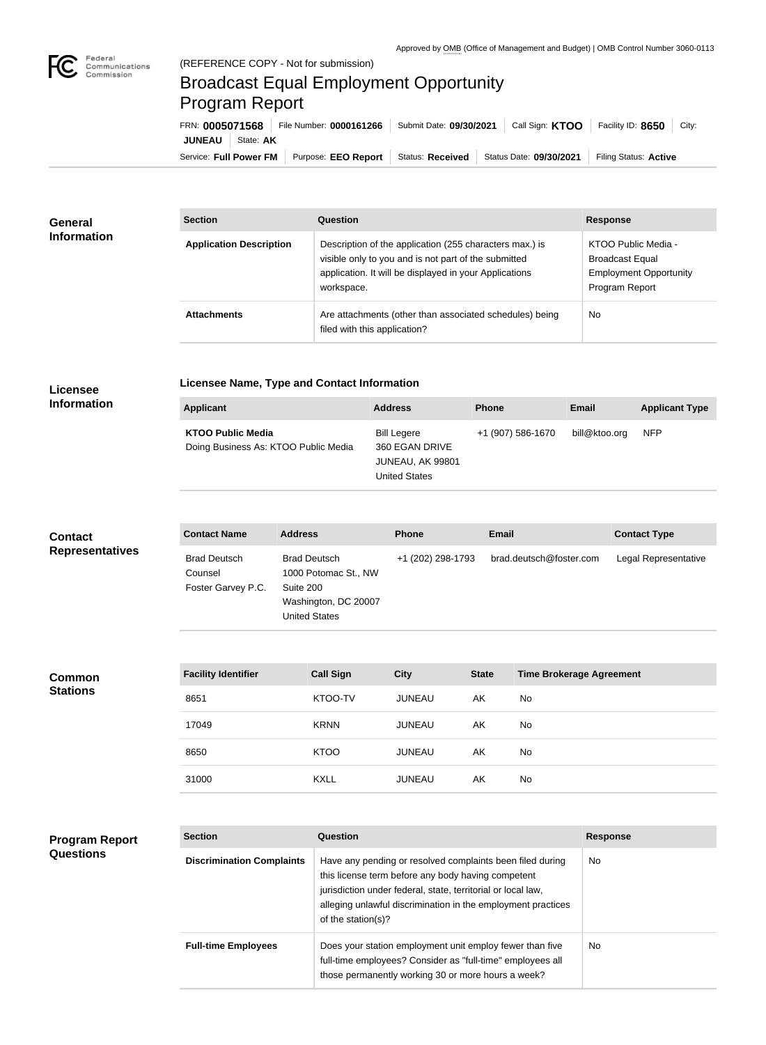

## Broadcast Equal Employment Opportunity Program Report

| FRN: 0005071568        | File Number: 0000161266 | Submit Date: 09/30/2021 | Call Sign: <b>KTOO</b>  | Facility ID: 8650<br>City: |
|------------------------|-------------------------|-------------------------|-------------------------|----------------------------|
| JUNEAU<br>State: AK    |                         |                         |                         |                            |
| Service: Full Power FM | Purpose: EEO Report     | Status: Received        | Status Date: 09/30/2021 | Filing Status: Active      |

| <b>General</b><br><b>Information</b> | <b>Section</b>                 | <b>Question</b>                                                                                                                                                                         | <b>Response</b>                                                                                  |
|--------------------------------------|--------------------------------|-----------------------------------------------------------------------------------------------------------------------------------------------------------------------------------------|--------------------------------------------------------------------------------------------------|
|                                      | <b>Application Description</b> | Description of the application (255 characters max.) is<br>visible only to you and is not part of the submitted<br>application. It will be displayed in your Applications<br>workspace. | KTOO Public Media -<br><b>Broadcast Equal</b><br><b>Employment Opportunity</b><br>Program Report |
|                                      | <b>Attachments</b>             | Are attachments (other than associated schedules) being<br>filed with this application?                                                                                                 | <b>No</b>                                                                                        |

## **Licensee Information**

**Program Report** 

**Questions**

## **Licensee Name, Type and Contact Information**

| Applicant                                                        | <b>Address</b>                                                            | <b>Phone</b>      | <b>Email</b>  | <b>Applicant Type</b> |
|------------------------------------------------------------------|---------------------------------------------------------------------------|-------------------|---------------|-----------------------|
| <b>KTOO Public Media</b><br>Doing Business As: KTOO Public Media | Bill Legere<br>360 EGAN DRIVE<br>JUNEAU, AK 99801<br><b>United States</b> | +1 (907) 586-1670 | bill@ktoo.org | <b>NFP</b>            |

| <b>Contact</b><br><b>Representatives</b> | <b>Contact Name</b>                                  | <b>Address</b>                                                                                           | <b>Phone</b>      | Email        |                                 | <b>Contact Type</b>  |
|------------------------------------------|------------------------------------------------------|----------------------------------------------------------------------------------------------------------|-------------------|--------------|---------------------------------|----------------------|
|                                          | <b>Brad Deutsch</b><br>Counsel<br>Foster Garvey P.C. | <b>Brad Deutsch</b><br>1000 Potomac St., NW<br>Suite 200<br>Washington, DC 20007<br><b>United States</b> | +1 (202) 298-1793 |              | brad.deutsch@foster.com         | Legal Representative |
|                                          |                                                      |                                                                                                          |                   |              |                                 |                      |
| <b>Common</b><br><b>Stations</b>         | <b>Facility Identifier</b>                           | <b>Call Sign</b>                                                                                         | <b>City</b>       | <b>State</b> | <b>Time Brokerage Agreement</b> |                      |
|                                          | 8651                                                 | KTOO-TV                                                                                                  | <b>JUNEAU</b>     | AK           | No                              |                      |
|                                          | 17049                                                | <b>KRNN</b>                                                                                              | <b>JUNEAU</b>     | AK           | No                              |                      |
|                                          | 8650                                                 | <b>KTOO</b>                                                                                              | <b>JUNEAU</b>     | AK           | No                              |                      |
|                                          | 31000                                                | <b>KXLL</b>                                                                                              | <b>JUNEAU</b>     | AK           | No                              |                      |
|                                          |                                                      |                                                                                                          |                   |              |                                 |                      |

| <b>Section</b>                   | Question                                                                                                                                                                                                                                                              | <b>Response</b> |
|----------------------------------|-----------------------------------------------------------------------------------------------------------------------------------------------------------------------------------------------------------------------------------------------------------------------|-----------------|
| <b>Discrimination Complaints</b> | Have any pending or resolved complaints been filed during<br>this license term before any body having competent<br>jurisdiction under federal, state, territorial or local law,<br>alleging unlawful discrimination in the employment practices<br>of the station(s)? | <b>No</b>       |
| <b>Full-time Employees</b>       | Does your station employment unit employ fewer than five<br>full-time employees? Consider as "full-time" employees all<br>those permanently working 30 or more hours a week?                                                                                          | <b>No</b>       |